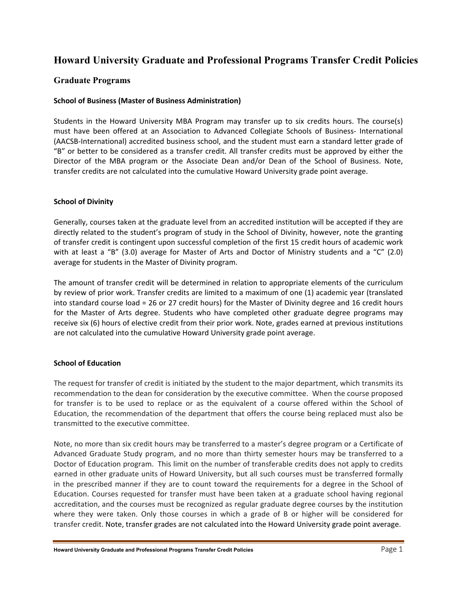# **Howard University Graduate and Professional Programs Transfer Credit Policies**

## **Graduate Programs**

#### **School of Business (Master of Business Administration)**

 Students in the Howard University MBA Program may transfer up to six credits hours. The course(s) must have been offered at an Association to Advanced Collegiate Schools of Business‐ International (AACSB‐International) accredited business school, and the student must earn a standard letter grade of "B" or better to be considered as a transfer credit. All transfer credits must be approved by either the Director of the MBA program or the Associate Dean and/or Dean of the School of Business. Note, transfer credits are not calculated into the cumulative Howard University grade point average.

#### **School of Divinity**

 Generally, courses taken at the graduate level from an accredited institution will be accepted if they are directly related to the student's program of study in the School of Divinity, however, note the granting of transfer credit is contingent upon successful completion of the first 15 credit hours of academic work with at least a "B" (3.0) average for Master of Arts and Doctor of Ministry students and a "C" (2.0) average for students in the Master of Divinity program.

 The amount of transfer credit will be determined in relation to appropriate elements of the curriculum by review of prior work. Transfer credits are limited to a maximum of one (1) academic year (translated into standard course load = 26 or 27 credit hours) for the Master of Divinity degree and 16 credit hours for the Master of Arts degree. Students who have completed other graduate degree programs may receive six (6) hours of elective credit from their prior work. Note, grades earned at previous institutions are not calculated into the cumulative Howard University grade point average.

#### **School of Education**

 The request for transfer of credit is initiated by the student to the major department, which transmits its recommendation to the dean for consideration by the executive committee. When the course proposed for transfer is to be used to replace or as the equivalent of a course offered within the School of Education, the recommendation of the department that offers the course being replaced must also be transmitted to the executive committee.

 Note, no more than six credit hours may be transferred to a master's degree program or a Certificate of Advanced Graduate Study program, and no more than thirty semester hours may be transferred to a Doctor of Education program. This limit on the number of transferable credits does not apply to credits earned in other graduate units of Howard University, but all such courses must be transferred formally in the prescribed manner if they are to count toward the requirements for a degree in the School of Education. Courses requested for transfer must have been taken at a graduate school having regional accreditation, and the courses must be recognized as regular graduate degree courses by the institution where they were taken. Only those courses in which a grade of B or higher will be considered for transfer credit. Note, transfer grades are not calculated into the Howard University grade point average.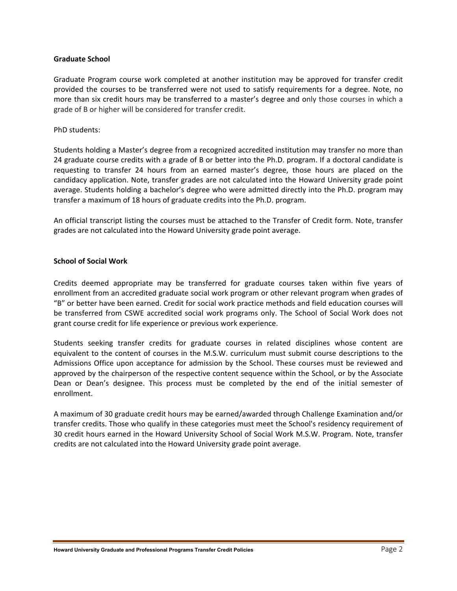#### **Graduate School**

 Graduate Program course work completed at another institution may be approved for transfer credit provided the courses to be transferred were not used to satisfy requirements for a degree. Note, no more than six credit hours may be transferred to a master's degree and only those courses in which a grade of B or higher will be considered for transfer credit.

#### PhD students:

 Students holding a Master's degree from a recognized accredited institution may transfer no more than 24 graduate course credits with a grade of B or better into the Ph.D. program. If a doctoral candidate is requesting to transfer 24 hours from an earned master's degree, those hours are placed on the candidacy application. Note, transfer grades are not calculated into the Howard University grade point average. Students holding a bachelor's degree who were admitted directly into the Ph.D. program may transfer a maximum of 18 hours of graduate credits into the Ph.D. program.

 An official transcript listing the courses must be attached to the Transfer of Credit form. Note, transfer grades are not calculated into the Howard University grade point average.

#### **School of Social Work**

 Credits deemed appropriate may be transferred for graduate courses taken within five years of enrollment from an accredited graduate social work program or other relevant program when grades of "B" or better have been earned. Credit for social work practice methods and field education courses will be transferred from CSWE accredited social work programs only. The School of Social Work does not grant course credit for life experience or previous work experience.

 Students seeking transfer credits for graduate courses in related disciplines whose content are equivalent to the content of courses in the M.S.W. curriculum must submit course descriptions to the Admissions Office upon acceptance for admission by the School. These courses must be reviewed and approved by the chairperson of the respective content sequence within the School, or by the Associate Dean or Dean's designee. This process must be completed by the end of the initial semester of enrollment.

 A maximum of 30 graduate credit hours may be earned/awarded through Challenge Examination and/or transfer credits. Those who qualify in these categories must meet the School's residency requirement of 30 credit hours earned in the Howard University School of Social Work M.S.W. Program. Note, transfer credits are not calculated into the Howard University grade point average.